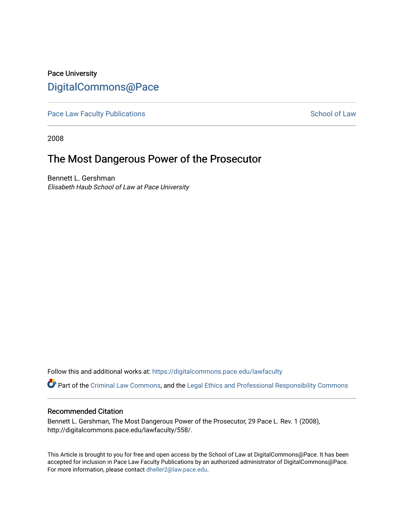## Pace University [DigitalCommons@Pace](https://digitalcommons.pace.edu/)

[Pace Law Faculty Publications](https://digitalcommons.pace.edu/lawfaculty) **School of Law** School of Law

2008

# The Most Dangerous Power of the Prosecutor

Bennett L. Gershman Elisabeth Haub School of Law at Pace University

Follow this and additional works at: [https://digitalcommons.pace.edu/lawfaculty](https://digitalcommons.pace.edu/lawfaculty?utm_source=digitalcommons.pace.edu%2Flawfaculty%2F558&utm_medium=PDF&utm_campaign=PDFCoverPages)

Part of the [Criminal Law Commons,](http://network.bepress.com/hgg/discipline/912?utm_source=digitalcommons.pace.edu%2Flawfaculty%2F558&utm_medium=PDF&utm_campaign=PDFCoverPages) and the [Legal Ethics and Professional Responsibility Commons](http://network.bepress.com/hgg/discipline/895?utm_source=digitalcommons.pace.edu%2Flawfaculty%2F558&utm_medium=PDF&utm_campaign=PDFCoverPages) 

## Recommended Citation

Bennett L. Gershman, The Most Dangerous Power of the Prosecutor, 29 Pace L. Rev. 1 (2008), http://digitalcommons.pace.edu/lawfaculty/558/.

This Article is brought to you for free and open access by the School of Law at DigitalCommons@Pace. It has been accepted for inclusion in Pace Law Faculty Publications by an authorized administrator of DigitalCommons@Pace. For more information, please contact [dheller2@law.pace.edu](mailto:dheller2@law.pace.edu).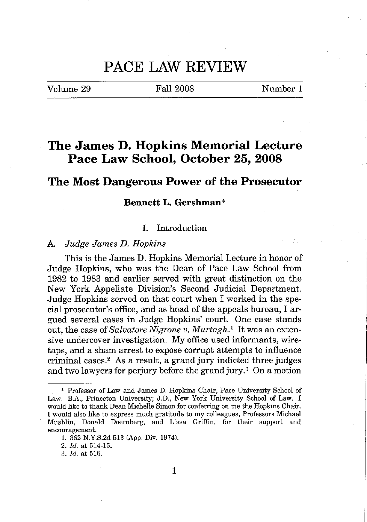## **PACE LAW REVIEW**

Volume 29

Fall 2008 Number 1

## **The James D. Hopkins Memorial Lecture Pace Law School, October 25, 2008**

## **The Most Dangerous Power of the Prosecutor**

## **Bennett L. Gershman\***

## 1. Introduction

#### A. *Judge James D. Hopkins*

This is the James D. Hopkins Memorial Lecture in honor of Judge Hopkins, who was the Dean of Pace Law School from 1982 to 1983 and earlier served with great distinction on the New York Appellate Division's Second Judicial Department. Judge Hopkins served on that court when I worked in the special prosecutor's office, and as head of the appeals bureau, I argued several cases in Judge Hopkins' court. One case stands out, the case of*Salvatore Nigrone v. Murtagh.!* It was an extensive undercover investigation. My office used informants, wiretaps, and a sham arrest to expose corrupt attempts to influence criminal cases." As a result, a grand jury indicted three judges and two lawyers for perjury before the grand jury.<sup>3</sup> On a motion

*2. ld.* at 514-15.

<sup>\*</sup> **Professor of Law and James D. Hopkins Chair, Pace University School of Law. B.A., Princeton University; J.D., New York University School of Law. I would like to thank Dean Michelle Simon for conferring on me the Hopkins Chair. I would also like to express much gratitude to my colleagues, Professors Michael Mushlin, Donald Doernberg, and Lissa Griffin, for their support and encouragement.**

<sup>1.</sup> 362 N.Y.S.2d 513 (App. Div. 1974).

*<sup>3.</sup> ld.* at 516.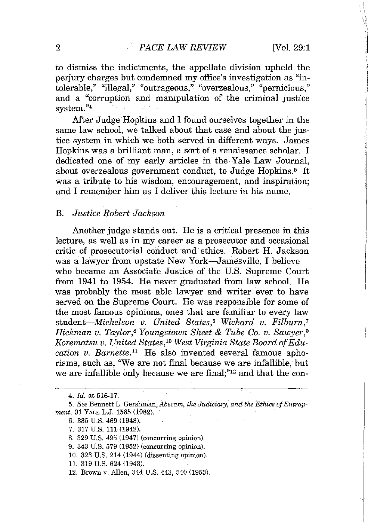## 2 *PACE LAW REVIEW* [Vol. 29:1]

to dismiss the indictments, the appellate division upheld the perjury charges but condemned my office's investigation as "in**tolerable," "illegal," "outrageous," "overzealous," "pernicious,"** and a "corruption and manipulation of the criminal justice system."4

After Judge Hopkins and I found ourselves together in the same law school, we talked about that case and about the justice system in which we both served in different ways. James Hopkins was a brilliant man, a sort of a renaissance scholar. I dedicated one of my early articles in the Yale Law Journal, about overzealous government conduct, to Judge Hopkins.<sup>5</sup> It was a tribute to his wisdom, encouragement, and inspiration; and I remember him as I deliver this lecture in his name.

### B. *Justice Robert Jackson*

Another judge stands out. He is a critical presence in this lecture, as well as in my career as a prosecutor and occasional critic of prosecutorial conduct and ethics. Robert H. Jackson was a lawyer from upstate New York—Jamesville, I believe who became an Associate Justice of the U.S. Supreme Court from 1941 to 1954. He never graduated from law school. He was probably the most able lawyer and writer ever to have served on the Supreme Court. He was responsible for some of the most famous opinions, ones that are familiar to every law *student-Michelson v. United States,<sup>6</sup> Wickard v. Filburn,<sup>7</sup> Hickman v. Taylor,S Youngstown Sheet* & *Tube Co. v. Sawyer,9 Korematsu v. United States,'O West Virginia State Board ofEducation v. Barnette."* He also invented several famous aphorisms, such as, ''We are not final because we are infallible, but we are infallible only because we are final;"<sup>12</sup> and that the con-

- 9. 343 U.S. 579 (1952) (concnrring opinion).
- 10. 323 U.s. 214 (1944) (dissenting opinion).
- 11. 319 U.s. 624 (1943).
- 12. Brown v. Allen, 344 U.S. 443, 540 (1953).

*<sup>4.</sup> Id.* at 516-17.

*<sup>5.</sup> See* **Bennett L.** Gershman~ *Abscam, the Judiciary, and the Ethics ofEntrapment,* 91 YALE L.J. 1565 (1982).

<sup>6.</sup> 335 U.s. 469 (1948).

<sup>7.</sup> 317 U.S. 111 (1942).

<sup>8.</sup> 329 U.S. 495 (1947) (concurring opinion).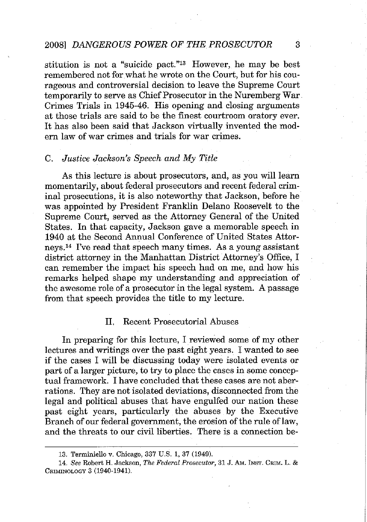### *2008] DANGEROUS POWER OF THE PROSECUTOR* 3

stitution is not a "suicide pact."13 However, he may be best remembered not for what he wrote on the Court, but for his courageous and controversial decision to leave the Supreme Court temporarily to serve as Chief Prosecutor in the Nuremberg War. Crimes Trials in 1945-46. His opening and closing arguments at those trials are said to be the finest courtroom oratory ever. It has also been said that Jackson virtually invented the modern law of war crimes and trials for war crimes.

#### C. *Justice Jackson's Speech and My Title*

As this lecture is about prosecutors, and, as you will learn momentarily, about federal prosecutors and recent federal criminal prosecutions, it is also noteworthy that Jackson, before he was appointed by President Franklin Delano Roosevelt to the Supreme Court, served as the Attorney General of the United States. In that capacity, Jackson gave a memorable speech in 1940 at the Second Annual Conference of United States Attorneys.I4 I've read that speech many times. As a young assistant district attorney in the Manhattan District Attorney's Office, I can remember the impact his speech had on me, and how his remarks helped shape my understanding and appreciation of the awesome role of a prosecutor in the legal system. A passage from that speech provides the title to my lecture.

#### II. Recent Prosecutorial Abuses

In preparing for this lecture, I reviewed some of my other lectures and writings over the past eight years. I wanted to see if the cases I will be discussing today were isolated events or part of a larger picture, to try to place the cases in some conceptual framework. I have concluded that these cases are not aberrations. They are not isolated deviations, disconnected from the legal and political abuses that have engulfed our nation these past eight years, particularly the abuses by the Executive Branch of our federal government, the erosion of the rule of law, and the threats to our civil liberties. There is a connection be-

<sup>13.</sup> Terminiello v. Chicago, 337 U.S. 1, 37 (1949).

*<sup>14.</sup> See* **Robert H. Jackson,** *The Federal Prosecutor,* **31 J. AM. INsT. CRIM. L. &** CRIMINOLOGV 3 (1940-1941).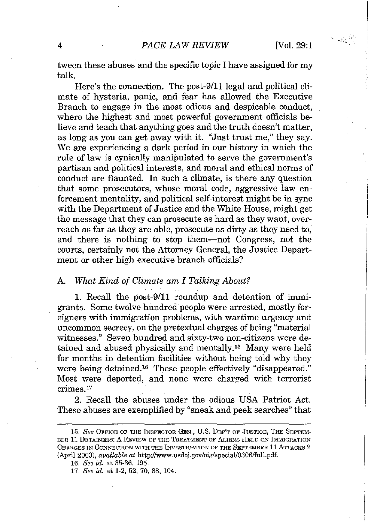tween these abuses and the specific topic I have assigned for my talk.

Here's the connection. The post-9/11 legal and political climate of hysteria, panic, and fear has allowed the Executive Branch to engage in the most odious and despicable conduct, where the highest and most powerful government officials believe and teach that anything goes and the truth doesn't matter, as long as you can get away with it. "Just trust me," they say. We are experiencing a dark period in our history in which the rule of law is cynically manipulated to serve the government's partisan and political interests, and moral and ethical norms of conduct are flaunted. In such a climate, is there any question that some prosecutors, whose moral code, aggressive law enforcement mentality, and political self-interest might be in sync with the Department of Justice and the White House, might get the message that they can prosecute as hard as they want, overreach as far as they are able, prosecute as dirty as they need to, and there is nothing to stop them-not Congress, not the courts, certainly not the Attorney General, the Justice Department or other high executive branch officials?

#### A. *What Kind of Climate am I Talking About?*

1. Recall the post-9/ll roundup and detention of immigrants. Some twelve hundred people were arrested, mostly foreigners with immigration problems, with wartime urgency and uncommon secrecy, on the pretextual charges of being "material witnesses." Seven hundred and sixty-two non-citizens were detained and abused physically and mentally.<sup>15</sup> Many were held for months in detention facilities without being told why they were being detained.'6 These people effectively "disappeared." Most were deported, and none were charged with terrorist crimes.'?

 2. Recall the abuses under the odious USA Patriot Act. These abuses are exemplified by "sneak and peek searches" that

*<sup>15.</sup> See* **OFFICE OF THE INSPECTOR GEN., U.S. DEP'T OF JUSTICE, THE SEPTEM-BER 11 DETAINEES: A REVIEW OF THE TREATMENT OF ALIENS HELD ON IMl\ilGRATION CHARGES IN CONNECTION WITH THE INVESTIGATION OF THE SEPTEMBER 11 ATIACKS 2** (April 2003), *available* at http://www.usdoj.gov/oig/special/0306/full.pdf.

*<sup>16.</sup> See id.* at 35-36, 195.

*<sup>17.</sup> See id.* at 1-2, 52, 70, 88, 104.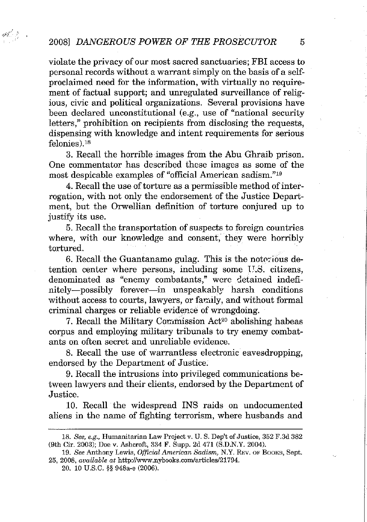$\label{eq:3.1} \mathcal{L}(\mathcal{E}) = \mathcal{E}(\mathcal{E})$ 

violate the privacy of our most sacred sanctuaries; FBI access to personal records without a warrant simply on the basis of a selfproclaimed need for the information, with virtually no requirement of factual support; and unregulated surveillance of religious, civic and political organizations. Several provisions have been declared unconstitutional (e.g., use of "national security letters," prohibition on recipients from disclosing the requests, dispensing with knowledge and intent requirements for serious felonies).<sup>18</sup>

3. Recall the horrible images from the Abu Ghraib prison. One commentator has described these images as some of the most despicable examples of "official American sadism."19

4. Recall the use of torture as a permissible method of interrogation, with not only the endorsement of the Justice Department, but the Orwellian definition of torture conjured up to justify its use.

5. Recall the transportation of suspects to foreign countries where, with our knowledge and consent, they were horribly tortured.

6. Recall the Guantanamo gulag. This is the notorious detention center where persons, including some  $U.S.$  citizens, denominated as "enemy combatants," were detained indefinitely-possibly forever-in unspeakably harsh conditions without access to courts, lawyers, or family, and without formal criminal charges or reliable evidence of wrongdoing.

7. Recall the Military Commission Act<sup>20</sup> abolishing habeas corpus and employing military tribunals to try enemy combatants on often secret and unreliable evidence.

S. Recall the use of warrantless electronic eavesdropping, endorsed by the Department of Justice.

9. Recall the intrusions into privileged communications between lawyers and their clients, endorsed by the Department of Justice.

10. Recall the widespread INS raids on undocumented aliens in the name of fighting terrorism, where husbands and

*<sup>18.</sup> See, e.g.,* **Humanitarian Law Project v. U. S. Dep't of Justice, 352 F.3d 382** (9th Cir. 2003); Doe v. Ashcroft, 334 F. Supp. 2d 471 (S.D.N.Y. 2004).

*<sup>19.</sup> See* **Anthony Lewis,** *Official American Sadism,* **N.Y. REV. OF BOOKS, Sept.** 25, 2008, *available at* http://www.nybaaks.com/articles/21794.

<sup>20.</sup> 10 U.s.C. §§ 948a-e (2006).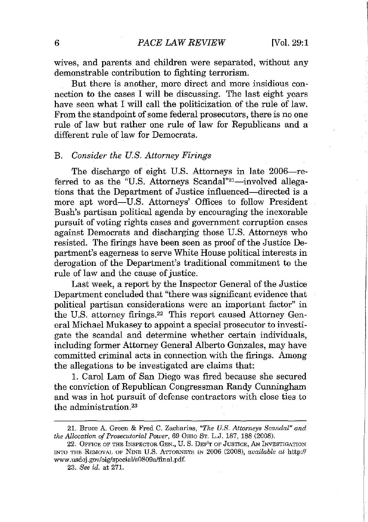wives, and parents and children were separated, without any demonstrable contribution to fighting terrorism.

But there is another, more direct and more insidious connection to the cases I will be discussing. The last eight years have seen what I will call the politicization of the rule of law. From the standpoint of some federal prosecutors, there is no one rule of law but rather one rule of law for Republicans and a different rule of law for Democrats.

#### B. *Consider the U.S. Attorney Firings*

The discharge of eight U.S. Attorneys in late 2006-referred to as the "U.S. Attorneys Scandal"<sup>21</sup>-involved allegations that the Department of Justice influenced-directed is a more apt word-U.S. Attorneys' Offices to follow President Bush's partisan political agenda by encouraging the inexorable pursuit of voting rights cases and government corruption cases against Democrats and discharging those U.S. Attorneys who resisted. The firings have been seen as proof of the Justice Department's eagerness to serve White House political interests in derogation of the Department's traditional commitment to the rule of law and the cause of justice.

Last week, a report by the Inspector General of the Justice Department concluded that "there was significant evidence that political partisan considerations were an important factor" in the U.S. attorney firings.<sup>22</sup> This report caused Attorney General Michael Mukasey to appoint a special prosecutor to investigate the scandal and determine whether certain individuals, including former Attorney General Alberto Gonzales, may have committed criminal acts in connection with the firings. Among the allegations to be investigated are claims that:

1. Carol Lam of San Diego was fired because she secured the conviction of Republican Congressman Randy Cunningham and was in hot pursuit of defense contractors with close ties to the administration. $23$ 

**<sup>21.</sup> Bruce A. Green & Fred C. Zacharias,** *"The U.S. Attorneys Scandal" and the Allocation of Prosecutorial Power,* 69 OHIO **ST. L.J. 187, 188 (2008).**

**<sup>22.</sup> OFFICE OF THE INSPECTOR GEN., U. S. DEP'T OF JUSTICE, AN INVESTIGATION INTO THE REMOVAL OF NINE U.S. ATTORNEYS IN 2006 (2008),** *available at* **http://** www.usdoj.gov/oig/special/s0809a/fmal.pdf.

*<sup>23.</sup> See id.* at 271.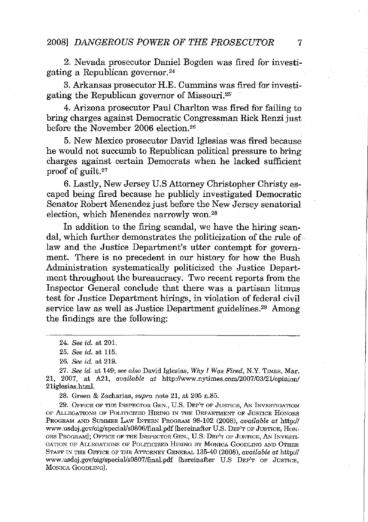2. Nevada prosecutor Daniel Bogden was fired for investigating a Republican governor. <sup>24</sup>

3. Arkansas prosecutor H.E. Cummins was fired for investigating the Republican governor of Missouri. <sup>25</sup>

4. Arizona prosecutor Paul Charlton was fired for failing to bring charges against Democratic Congressman Rick Renzi just before the November 2006 election.26

5. New Mexico prosecutor David Iglesias was fired because he would not succumb to Republican political pressure to bring charges against certain Democrats when he lacked sufficient proof of guilt.<sup>27</sup>

6. Lastly, New Jersey U.S Attorney Christopher Christy escaped being fired because he publicly investigated Democratic Senator Robert Menendez just before the New Jersey senatorial election, which Menendez narrowly won.<sup>28</sup>

In addition to the firing scandal, we have the hiring scandal, which further demonstrates the politicization of the rule of law and the Justice Department's utter contempt for government. There is no precedent in our history for how the Bush Administration systematically politicized the Justice Department throughout the bureaucracy. Two recent reports from the Inspector General conclude that there was a partisan litmus test for Justice Department hirings, in violation of federal civil service law as well as Justice Department guidelines.<sup>29</sup> Among the findings are the following:

*24. See id.* at 201.

*26. See id.* at 219.

*27. See id.* **at 149;** *see also* **David Iglesias,** *Why I Was Fired,* **N.Y. TIMES, Mar.** 21, 2007, at A21, *available at* http://www.nytimes.com/2007/03/21/opinion/ 21iglesias.html.

**28. Green & Zacharias, supra note 21, at 205 n.S5.**

**29. OFFICE OF THE INSPECTOR GEN., U.S. DEP'T OF JUSTICE, AN INVESTIGATION OF ALLEGATIONS OF POLITICIZED HIRING IN THE DEPARTMENT OF JUSTICE HONORS** PROGRAM AND SUMMER LAw INTERN PROGRAM 98-102 (2008), *available at* http:// **www.usdoj.gov/oig/special/s0806/final.pdf[hereinafter U.S. DEP'T OF JUSTICE, HON-ORS PROGRAM]; OFFICE OF THE INSPECTOR GEN., U.S.. DEP'T OF JUSTICE, AN INVESTI-GATION OF ALLEGATIONS OF POLITICIZED HIRING BY MONICA GOODLING AND OTHER STAFF IN THE OFFICE OF THE AITORNEY GENERAL 135-40 (2008),** *available at* **http:// www.usdoj.gov/oig/specialls0807/final.pdf [hereinafter U.S DEP'T OF JUSTICE, MONICA GOODLING].**

*<sup>25.</sup> See id.* at 115.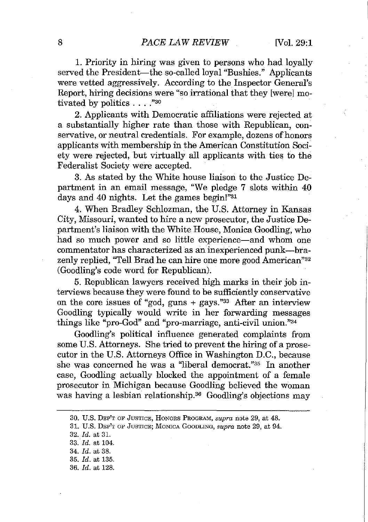1. Priority in hiring was given to persons who had loyally served the President-the so-called loyal "Bushies." Applicants were vetted aggressively. According to the Inspector General's Report, hiring decisions were "so irrational that they [were] motivated by politics ...."30

2. Applicants with Democratic affiliations were rejected at a substantially higher rate than those with Republican, conservative, or neutral credentials. For example, dozens of honors applicants with membership in the American Constitution Society were rejected, but virtually all applicants with ties to the Federalist Society were accepted.

3. As stated by the White house liaison to the Justice Department in an email message, "We pledge 7 slots within 40 days and 40 nights. Let the games begin!"31

4. When Bradley Schlozman, the U.S. Attorney in Kansas City, Missouri, wanted to hire a new prosecutor, the Justice Department's liaison with the White House, Monica Goodling, who had so much power and so little experience—and whom one commentator has characterized as an inexperienced punk-brazenly replied, "Tell Brad he can hire one more good American"32 (Goodling's code word for Republican).

5. Republican lawyers received high marks in their job interviews because they were found to be sufficiently conservative on the core issues of "god, guns  $+$  gays."<sup>33</sup> After an interview Goodling typically would write in her forwarding messages things like "pro-God" and "pro-marriage, anti-civil union."34

Goodling's political influence generated complaints from some U.8. Attorneys. She tried to prevent the hiring of a prosecutor in the U.S. Attorneys Office in Washington D.C., because she was concerned he was a "liberal democrat."35 In another case, Goodling actually blocked the appointment of a female prosecutor in Michigan because Goodling believed the woman was having a lesbian relationship.<sup>36</sup> Goodling's objections may

**<sup>30.</sup> U.S. DEP'T OF JUSTICE, HONORS PROGRAM,** *supra* **note 29, at 48.**

**<sup>31.</sup> U.S. DEP'T OF JUSTICE; MONICA GOODLING,** *supra* **note 29, at 94.**

*<sup>32.</sup> ld.* at 31.

*<sup>33.</sup> ld.* at *104.*

*<sup>34.</sup> ld.* at 38.

*<sup>35.</sup> ld.* at 135.

*<sup>36.</sup> ld.* at 128.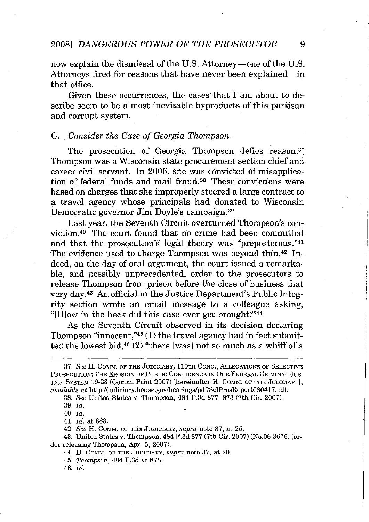now explain the dismissal of the U.S. Attorney—one of the U.S. Attorneys fired for reasons that have never been explained—in that office.

Given these occurrences, the cases that I am about to describe seem to be almost inevitable byproducts of this partisan and corrupt system.

## C. *Consider the Case of Georgia Thompson*

The prosecution of Georgia Thompson defies reason.<sup>37</sup> Thompson was a Wisconsin state procurement section chief and career civil servant. In 2006, she was convicted of misapplication of federal funds and mail fraud. <sup>38</sup> These convictions were based on charges that she improperly steered a large contract to a travel agency whose principals had donated to Wisconsin Democratic governor Jim Doyle's campaign.39

Last year, the Seventh Circuit overturned Thompson's conviction.40 The court found that no crime had been committed and that the prosecution's legal theory was "preposterous."41 The evidence used to charge Thompson was beyond thin.<sup>42</sup> Indeed, on the day of oral argument, the court issued a remarkable, and possibly unprecedented, order to the prosecutors to release Thompson from prison before the close of business that very day.43 An official in the Justice Department's Public Integrity section wrote an email message to a colleague asking, " $[H]$ ow in the heck did this case ever get brought?"<sup>44</sup>

As the Seventh Circuit observed in its decision declaring Thompson "innocent," $45$  (1) the travel agency had in fact submitted the lowest bid,  $46$  (2) "there [was] not so much as a whiff of a

*<sup>37.</sup> See* **H. COMIv::I. OF THE JUDICIARY, 110TH CONG., ALLEGATIONS OF SELECTIVE PROSECUTION: THE EROSION OF PuBLIC CONFIDENCE IN OUR FEDERAL CRIMINAL Jus-TICE SYSTEM 19-23 (Camm. Print 2007) [hereinafter H. COMM. OF THE JUDICIARY],** *available at* **http://judiciary.house.govlhearings/pdf/SelProsReport080417.pdf.**

*<sup>38.</sup> See* United States v. Thompson, 484 F.3d 877, 878 (7th Gir. 2007).

*<sup>39.</sup> ld.*

*<sup>40.</sup> ld.*

<sup>41.</sup> *ld.* at 883.

*<sup>42.</sup> See* **H. COM:M. OF THE JUDICIARY,** *supra* **note 37, at 25.**

<sup>43.</sup> United States v. Thompson, 484 F.3d 877 (7th Cir. 2007) (No.06-3676) (or**der releasing Thompson, Apr. 5, 2007).**

**<sup>44.</sup> H. COMM. OF THE JUDICIARY,** *supra* **note 37, at 20.**

*<sup>45.</sup> Thompson,* 484 F.3d at 878.

*<sup>46.</sup> ld.*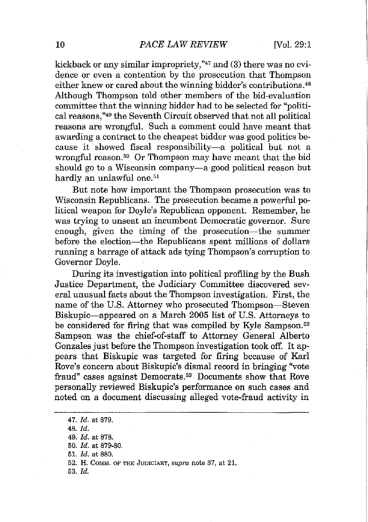kickback or any similar impropriety,"<sup>47</sup> and (3) there was no evidence or even a contention by the prosecution that Thompson either knew or cared about the winning bidder's contributions.<sup>48</sup> Although Thompson told other members of the bid-evaluation committee that the winning bidder had to be selected for "political reasons,"·9 the Seventh Circuit observed that not all political reasons are wrongful. Such a comment could have meant that awarding a contract to the cheapest bidder was good politics because it showed fiscal responsibility-a political but not a wrongful reason.<sup>50</sup> Or Thompson may have meant that the bid should go to a Wisconsin company-a good political reason but hardly an unlawful one.<sup>51</sup>

But note how important the Thompson prosecution was to Wisconsin Republicans. The prosecution became a powerful political weapon for Doyle's Republican opponent. Remember, he was trying to unseat an incumbent Democratic governor. Sure enough, given the timing of the prosecution-the summer before the election-the Republicans spent millions of dollars running a barrage of attack ads tying Thompson's corruption to Governor Doyle.

During its investigation into political profiling by the Bush Justice Department, the Judiciary Committee discovered several unusual facts about the Thompson investigation. First, the name of the U.S. Attorney who prosecuted Thompson-Steven Biskupic-appeared on a March 2005 list of U.S. Attorneys to be considered for firing that was compiled by Kyle Sampson.52 Sampson was the chief-of-staff to Attorney General Alberto Gonzales just before the Thompson investigation took off. It appears that Biskupic was targeted for firing because of Karl Rove's concern about Biskupic's dismal record in bringing "vote fraud" cases against Democrats.<sup>53</sup> Documents show that Rove personally reviewed Biskupic's performance on such cases and noted on a document discussing alleged vote-fraud activity in

*47. ld.* at 879. *48. ld. 49. ld.* at 878. *50. ld.* at 879·80. 51. *ld.* at 880. **52. H. COMM. OF THE JUDICIARY,** *supra* **note 37, at 21.** *53. ld.*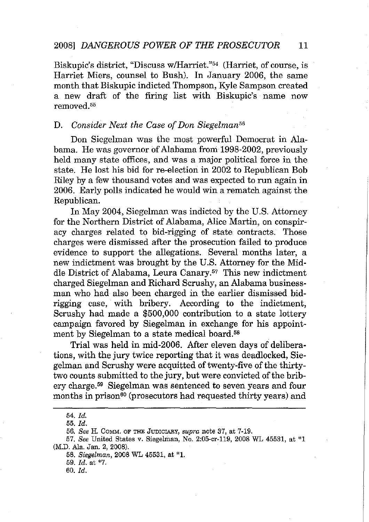Biskupic's district, "Discuss w/Harriet."<sup>54</sup> (Harriet, of course, is Harriet Miers, counsel to Bush). In January 2006, the same month that Biskupic indicted Thompson, Kyle Sampson created a new draft of the firing list with Biskupic's name now removed.55

## **D.** *Consider Next the Case of Don Siegelman*<sup>56</sup>

Don Siegelman was the most powerful Democrat in Alabama. He was governor of Alabama from 1998-2002, previously held many state offices, and was a major political force in the state. He lost his bid for re-election in 2002 to Republican Bob Riley by a few thousand votes and was expected to run again in 2006. Early polls indicated he would win a rematch against the Republican.

In May 2004, Siegelman was indicted by the U.S. Attorney for the Northern District of Alabama, Alice Martin, on conspiracy charges related to bid-rigging of state contracts. Those charges were dismissed after the prosecution failed to produce evidence to support the allegations. Several months later, a new indictment was brought by the U.S. Attorney for the Middle District of Alabama, Leura Canary.57 This new indictment charged Siegelman and Richard Scrushy, an Alabama businessman who had also been charged in the earlier dismissed bidrigging case, with bribery. According to the indictment, Scrushy had made a \$500,000 contribution to a state lottery campaign favored by Siegelman in exchange for his appointment by Siegelman to a state medical board.58

Trial was held in mid-2006. Mter eleven days of deliberations, with the jury twice reporting that it was deadlocked, Siegelman and Scrushy were acquitted of twenty-five of the thirtytwo counts submitted to the jury, but were convicted of the bribery charge.59 Siegelman was sentenced to seven years and four months in prison<sup>60</sup> (prosecutors had requested thirty years) and

*<sup>54.</sup> Id.*

*<sup>55.</sup> Id.*

 $56.$  *See* H. Comm. of the Judiciary,  $supra$  note 37, at 7-19.

*<sup>57.</sup> See* United States v. Siegelman, No. 2:05·cr.119, 2008 WL 45531, at \*1 (M.D. Ala. Jan. 2, 2008).

*<sup>58.</sup> Siegelman,* 2008 WL 45531, at \*1.

*<sup>59.</sup> Id.* at \*7.

*<sup>60.</sup> Id.*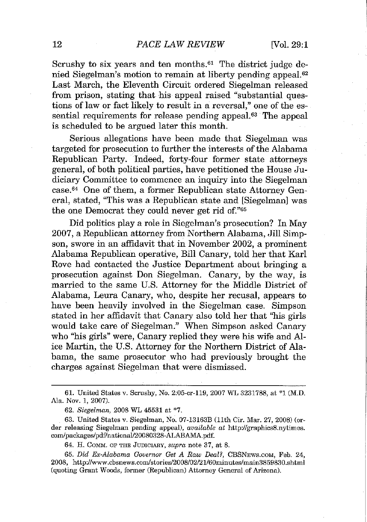Scrushy to six years and ten months.<sup>61</sup> The district judge denied Siegelman's motion to remain at liberty pending appeal.62 Last March, the Eleventh Circuit ordered Siegelman released from prison, stating that his appeal raised "substantial questions of law or fact likely to result in a reversal," one of the essential requirements for release pending appeal.<sup>63</sup> The appeal is scheduled to be argued later this month.

Serious allegations have been made that Siegelman was targeted for prosecution to further the interests of the Alabama Republican Party. Indeed, forty-four former state attorneys general, of both political parties, have petitioned the House Judiciary Committee to commence an inquiry into the Siegelman case.64 One of them, a former Republican state Attorney General, stated, "This was a Republican state and [Siegelman] was the one Democrat they could never get rid of."65

Did politics playa role in Siegelman's prosecution? In May 2007, a Republican attorney from Northern Alabama, Jill Simpson, swore in an affidavit that in November 2002, a prominent Alabama Republican operative, Bill Canary, told her that Karl Rove had contacted the Justice Department about bringing a prosecution against Don Siegelman. Canary, by the way, is married to the same U.S. Attorney for the Middle District of Alabama, Leura Canary, who, despite her recusal, appears to have been heavily involved in the Siegelman case. Simpson stated in her affidavit that Canary also told her that "his girls would take care of Siegelman." When Simpson asked Canary who "his girls" were, Canary replied they were his wife and Alice Martin, the U.S. Attorney for the Northern District of Alabama, the same prosecutor who had previously brought the charges against Siegelman that were dismissed.

64. H. COMM. OF THE JUDICIARY, *supra* note 37, at 8.

*65. Did Ex-Alabama Governor Get A Raw Deal?,* CBSNEWS.COM, Feb. 24, 2008, http://www.cbsnews.com/stories/2008/02/21/60minutes/main3859830.shtml (quoting Grant Woods, former (Republican) Attorney General of Arizona).

<sup>61.</sup> United States v. Scrushy, No. 2:05-cr-119, 2007 WL 3231788, at \*1 (M.D. Ala. Nov. 1, 2007).

*<sup>62.</sup> Siegelman,* 2008 WL 45531 at \*7.

<sup>63.</sup> United States v. Siegelman, No. 07-13163B (11th Cir. Mar. 27, 2008) (order releasing Siegelman pending appeal), *available at* http://graphics8.nytimes. com/packages/pdf/nationa1l20080328-ALABAMA.pdf.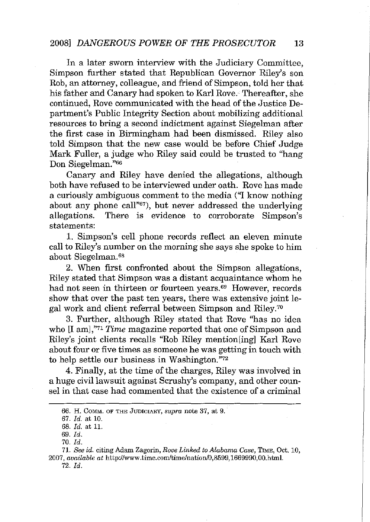## 2008J *DANGEROUS POWER OF THE PROSECUTOR 13*

In a later sworn interview with the Judiciary Committee, Simpson further stated that Republican Governor Riley's son Rob, an attorney, colleague, and friend of Simpson, told her that his father and Canary had spoken to Karl Rove. Thereafter, she continued, Rove communicated with the head of the Justice Department's Public Integrity Section about mobilizing additional resources to bring a second indictment against Siegelman after the first case in Birmingham had been dismissed. Riley also told Simpson that the new case would be before Chief Judge Mark Fuller, a judge who Riley said could be trusted to "hang Don Siegelman."66

Canary and Riley have denied the allegations, although both have refused to be interviewed under oath. Rove has made a curiously ambiguous comment to the media ("I know nothing about any phone call"67), but never addressed the underlying allegations. There is evidence to corroborate Simpson's statements:

1. Simpson's cell phone records reflect an eleven minute call to Riley's number on the morning she says she spoke to him about Siegelman.68

2. When first confronted about the Simpson allegations, Riley stated that Simpson was a distant acquaintance whom he had not seen in thirteen or fourteen years.<sup>69</sup> However, records show that over the past ten years, there was extensive joint legal work and client referral between Simpson and Riley.70

3. Further, although Riley stated that Rove ''has no idea who [I am],"<sup>71</sup> *Time* magazine reported that one of Simpson and Riley's joint clients recalls "Rob Riley mention[ing] Karl Rove about four or five times as someone he was getting in touch with to help settle our business in Washington. "72

4. Finally, at the time of the charges, Riley was involved in a huge civil lawsuit against Scrushy's company, and other counsel in that case had commented that the existence of a criminal

**<sup>66.</sup> H. COMM. OF THE JUDICIARY,** *supra* **note 37, at 9.**

*<sup>67.</sup> ld.* at 10.

*<sup>68.</sup> ld.* at 11.

<sup>69.</sup> *ld.*

*<sup>70.</sup> ld.*

*<sup>71.</sup> See id.* **citing Adam Zagorin,** *Rove Linked to Alabama Case,* **TIME, Oct. 10,** *2007, available at* http://www.time.com/tirnelnation/0.8599.1669990.OO.htrnl. *72. ld.*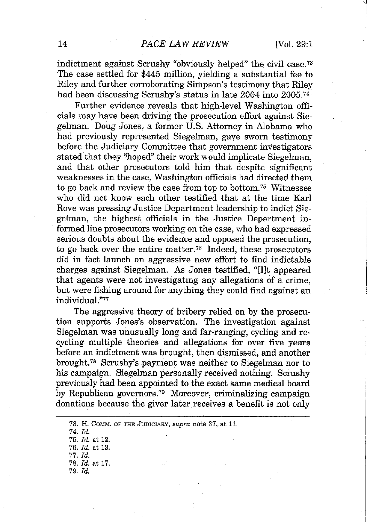indictment against Scrushy "obviously helped" the civil case. <sup>73</sup> The case settled for \$445 million, yielding a substantial fee to Riley and further corroborating Simpson's testimony that Riley had been discussing Scrushy's status in late 2004 into 2005.<sup>74</sup>

Further evidence reveals that high-level Washington officials may have been driving the prosecution effort against Siegelman. Doug Jones, a former U.S. Attorney in Alabama who had previously represented Siegelman, gave sworn testimony before the Judiciary Committee that government investigators stated that they "hoped" their work would implicate Siegelman, and that other prosecutors told him that despite significant weaknesses in the case, Washington officials had directed them to go back and review the case from top to bottom. <sup>75</sup> Witnesses who did not know each other testified that at the time Karl Rove was pressing Justice Department leadership to indict Siegelman, the highest officials in the Justice Department informed line prosecutors working on the case, who had expressed serious doubts about the evidence and opposed the prosecution, to go back over the entire matter.76 Indeed, these prosecutors did in fact launch an aggressive new effort to find indictable charges against Siegelman. As Jones testified, "[I]t appeared that agents were not investigating any allegations of a crime, but were fishing around for anything they could find against an individual."77

The aggressive theory of bribery relied on by the prosecution supports Jones's observation. The investigation against Siegelman was unusually long and far-ranging, cycling and recycling multiple theories and allegations for over five years before an indictment was brought, then dismissed, and another brought. <sup>78</sup> Scrushy's payment was neither to Siegelman nor to his campaign. Siegelman personally received nothing. Scrushy previously had been appointed to the exact same medical board by Republican governors.79 Moreover, criminalizing campaign donations because the giver later receives a benefit is not only

**<sup>73.</sup> H. COMM. OF THE JUDICIARY,** *supra* **note 37, at 11.** *74. ld. 75. ld.* at 12. *76. ld.* at 13. *77. ld. 78. ld.* at 17. *79. ld.*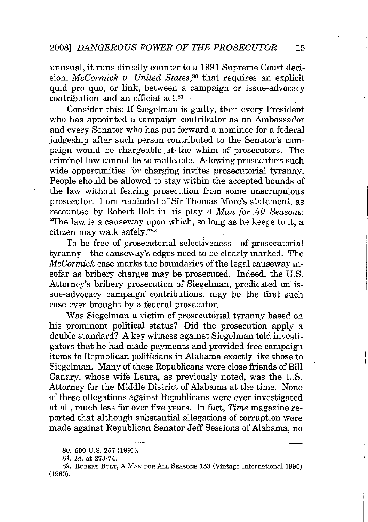unusual, it runs directly counter to a 1991 Supreme Court decision, *McCormick v. United States,80* that requires an explicit quid pro quo, or link, between a campaign or issue-advocacy contribution and an official act.81

Consider this: If Siegelman is guilty, then every President who has appointed a campaign contributor as an Ambassador and every Senator who has put forward a nominee for a federal judgeship after such person contributed to the Senator's campaign would be chargeable at the whim of prosecutors. The criminal law cannot be so malleable. Allowing prosecutors such wide opportunities for charging invites prosecutorial tyranny. People should be allowed to stay within the accepted bounds of the law without fearing prosecution from some unscrupulous prosecutor. I am reminded of Sir Thomas More's statement, as recounted by Robert Bolt in his play *A Man for All Seasons:* "The law is a causeway upon which, so long as he keeps to it, a citizen may walk safely."82

To be free of prosecutorial selectiveness-of prosecutorial tyranny-the causeway's edges need to be clearly marked. The *McCormick* case marks the boundaries of the legal causeway insofar as bribery charges may be prosecuted. Indeed, the U.S. Attorney's bribery prosecution of Siegelman, predicated on issue-advocacy campaign contributions, may be the first such case ever brought by a federal prosecutor.

Was Siegelman a victim of prosecutorial tyranny based on his prominent political status? Did the prosecution apply a double standard? A key witness against Siegelman told investigators that he had made payments and provided free campaign items to Republican politicians in Alabama exactly like those to Siegelman. Many of these Republicans were close friends of Bill Canary, whose wife Leura, as previously noted, was the U.s. Attorney for the Middle District of Alabama at the time. None of these allegations against Republicans were ever investigated at all, much less for over five years. **In** fact, *Time* magazine reported that although substantial allegations of corruption were made against Republican Senator Jeff Sessions of Alabama, no

<sup>80.</sup> 500 U.S. 257 (1991).

*<sup>81.</sup> Id.* at 273-74.

<sup>82.</sup> ROBERT BOLT, A MAN FOR ALL SEASONS 153 (Vintage International 1990) (1960).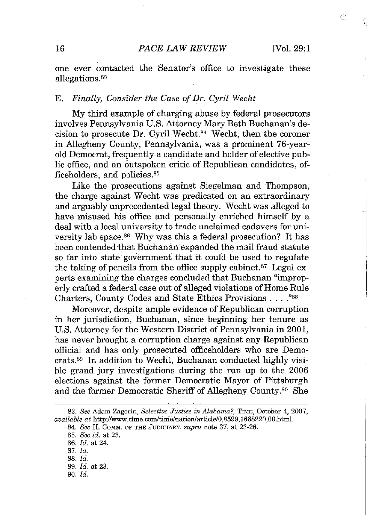### 16 *PACE LAW REVIEW* [Vol. 29:1

ξŞ

one ever contacted the Senator's office to investigate these allegations.83

#### E. *Finally, Consider the Case ofDr. Cyril Wecht*

My third example of charging abuse by federal prosecutors involves Pennsylvania U.S. Attorney Mary Beth Buchanan's decision to prosecute Dr. Cyril Wecht.84 Wecht, then the coroner in Allegheny County, Pennsylvania, was a prominent 76-yearold Democrat, frequently a candidate and holder of elective public office, and an outspoken critic of Republican candidates, officeholders, and policies.85

Like the prosecutions against Siegelman and Thompson, the charge against Wecht was predicated on an extraordinary and arguably unprecedented legal theory. Wecht was alleged to have misused his office and personally enriched himself by a deal with a local university to trade unclaimed cadavers for university lab space.<sup>86</sup> Why was this a federal prosecution? It has been contended that Buchanan expanded the mail fraud statute so far into state government that it could be used to regulate the taking of pencils from the office supply cabinet.<sup>87</sup> Legal experts examining the charges concluded that Buchanan "improperly crafted a federal case out of alleged violations of Home Rule Charters, County Codes and State Ethics Provisions ...."88

Moreover, despite ample evidence of Republican corruption in her jurisdiction, Buchanan, since beginning her tenure as U.S. Attorney for the Western District of Pennsylvania in 2001, has never brought a corruption charge against any Republican official and has only prosecuted officeholders who are Democrats.89 **In** addition to Wecht, Buchanan conducted highly visible grand jury investigations during the run up to the 2006 elections against the former Democratic Mayor of Pittsburgh and the former Democratic Sheriff of Allegheny County.<sup>90</sup> She

*90. ld.*

*<sup>83.</sup> See* **Adam Zagorin,** *Selective Justice in Alabama?,* **TIME, October 4, 2007,** *available at* http://www.time.com/time/nation/article/0.8599.1668220.00.html.

<sup>84.</sup> See H. COMM. OF THE JUDICIARY, supra note 37, at 23-26.

*<sup>85.</sup> See id.* at 23.

*<sup>86.</sup> ld.* at 24.

*<sup>87.</sup> ld.*

*<sup>88.</sup> ld.*

*<sup>89.</sup> ld.* at 23.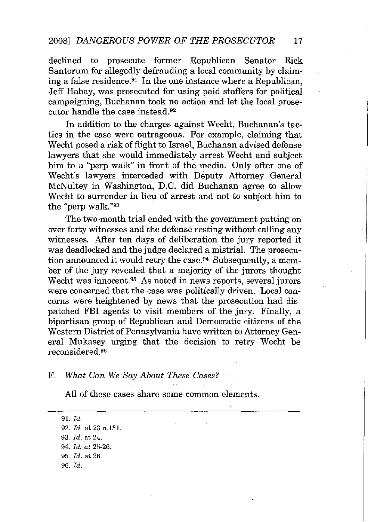declined to prosecute former Republican Senator Rick Santorum for allegedly defrauding a local community by claiming a false residence.91 In the one instance where a Republican, Jeff Habay, was prosecuted for using paid staffers for political campaigning, Buchanan took no action and let the local prosecutor handle the case instead.92

In addition to the charges against Wecht, Buchanan's tactics in the case were outrageous. For example, claiming that Wecht posed a risk offlight to Israel, Buchanan advised defense lawyers that she would immediately arrest Wecht and subject him to a "perp walk" in front of the media. Only after one of Wecht's lawyers interceded with Deputy Attorney General McNultey in Washington, D.C. did Buchanan agree to allow Wecht to surrender in lieu of arrest and not to subject him to the "perp walk."93

The two-month trial ended with the government putting on over forty witnesses and the defense resting without calling any witnesses. After ten days of deliberation the jury reported it was deadlocked and the judge declared a mistrial. The prosecution announced it would retry the case.<sup>94</sup> Subsequently, a member of the jury revealed that a majority of the jurors thought Wecht was innocent.95 As noted in news reports, several jurors were concerned that the case was politically driven. Local concerns were heightened by news that the prosecution had dispatched FBI agents to visit members of the jury. Finally, a bipartisan group of Republican and Democratic citizens of the Western District of Pennsylvania have written to Attorney General Mukasey urging that the decision to retry Wecht be reconsidered. <sup>96</sup>

#### F. *What Can* We *Say About These Cases?*

All of these cases share some common elements.

*91. ld. 92. ld.* at 23 n.l31. *93. ld.* at 24. *94. ld. at 25-26. 95. ld.* at 26. *96. ld.*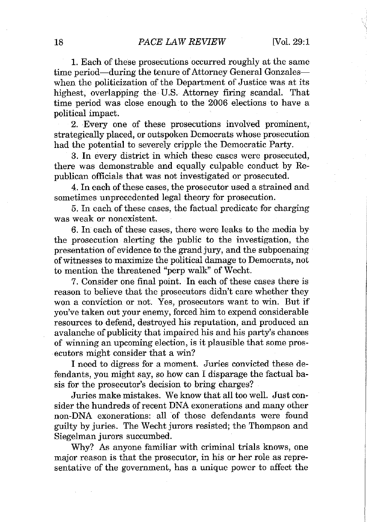1. Each of these prosecutions occurred roughly at the same time period-during the tenure of Attorney General Gonzaleswhen the politicization of the Department of Justice was at its highest, overlapping the U.S. Attorney firing scandal. That time period was close enough to the 2006 elections to have a political impact.

2. Every one of these prosecutions involved prominent, strategically placed, or outspoken Democrats whose prosecution had the potential to severely cripple the Democratic Party.

3. **In** every district in which these cases were prosecuted, there was demonstrable and equally culpable conduct by Republican officials that was not investigated or prosecuted.

4. **In** each ofthese cases, the prosecutor used a strained and sometimes unprecedented legal theory for prosecution.

5. In each of these cases, the factual predicate for charging was weak or nonexistent.

6. **In** each of these cases, there were leaks to the media by the prosecution alerting the public to the investigation, the presentation of evidence to the grand jury, and the subpoenaing ofwitnesses to maximize the political damage to Democrats, not to mention the threatened "perp walk" of Wecht.

7. Consider one final point. **In** each of these cases there is reason to believe that the prosecutors didn't care whether they won a conviction or not. Yes, prosecutors want to win. But if you've taken out your enemy, forced him to expend considerable resources to defend, destroyed his reputation, and produced an avalanche of publicity that impaired his and his party's chances of winning an upcoming election, is it plausible that some prosecutors might consider that a win?

I need to digress for a moment. Juries convicted these defendants, you might say, so how can I disparage the factual basis for the prosecutor's decision to bring charges?

Juries make mistakes. We know that all too well. Just consider the hundreds of recent DNA exonerations and many other non-DNA exonerations: all of those defendants were found guilty by juries. The Wecht jurors resisted; the Thompson and Siegelman jurors succumbed.

Why? As anyone familiar with criminal trials knows, one major reason is that the prosecutor, in his or her role as representative of the government, has a unique power to affect the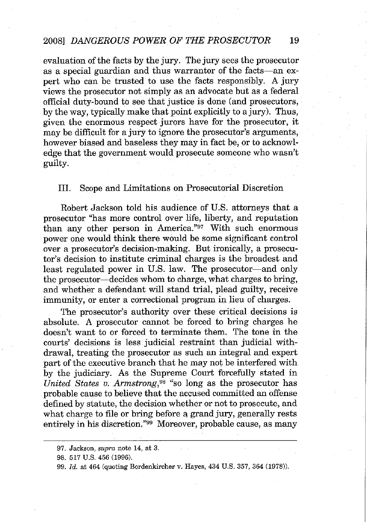evaluation of the facts by the jury. The jury sees the prosecutor as a special guardian and thus warrantor of the facts-an expert who can be trusted to use the facts responsibly. A jury views the prosecutor not simply as an advocate but as a federal official duty-bound to see that justice is done (and prosecutors, by the way, typically make that point explicitly to a jury). Thus, given the enormous respect jurors have for the prosecutor, it may be difficult for a jury to ignore the prosecutor's arguments, however biased and baseless they may in fact be, or to acknowledge that the government would prosecute someone who wasn't guilty.

## III. Scope and Limitations on Prosecutorial Discretion

Robert Jackson told his audience of U.S. attorneys that a prosecutor ''has more control over life, liberty, and reputation than any other person in America."97 With such enormous power one would think there would be some significant control over a prosecutor's decision-making. But ironically, a prosecutor's decision to institute criminal charges is the broadest and least regulated power in U.S. law. The prosecutor-and only the prosecutor—decides whom to charge, what charges to bring, and whether a defendant will stand trial, plead guilty, receive immunity, or enter a correctional program in lieu of charges.

The prosecutor's authority over these critical decisions is absolute. A prosecutor cannot be forced to bring charges he doesn't want to or forced to terminate them. The tone in the courts' decisions is less judicial restraint than judicial withdrawal, treating the prosecutor as such an integral and expert part of the executive branch that he may not be interfered with by the judiciary. As the Supreme Court forcefully stated in *United States v. Armstrong,98* "so long as the prosecutor has probable cause to believe that the accused committed an offense defined by statute, the decision whether or not to prosecute, and what charge to file or bring before a grand jury, generally rests entirely in his discretion."99 Moreover, probable cause, as many

**<sup>97.</sup> Jackson,** *supra* **note 14, at 3.**

<sup>98.</sup> 517 U.S. 456 (1996).

*<sup>99.</sup> Id.* at 464 (quoting Bordenkircher v. Hayes, 434 U.s. 357, 364 (1978».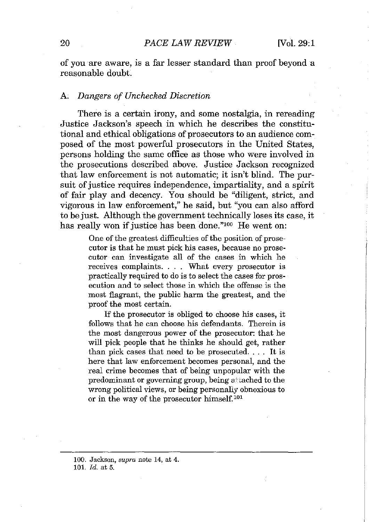of you are aware, is a far lesser standard than proof beyond a reasonable doubt.

### A. *Dangers of Unchecked Discretion*

There is a certain irony, and some nostalgia, in rereading Justice Jackson's speech in which he describes the constitutional and ethical obligations of prosecutors to an audience composed of the most powerful prosecutors in the United States, persons holding the same office as those who were involved in the prosecutions described above. Justice Jackson recognized that law enforcement is not automatic; it isn't blind. The pursuit of justice requires independence, impartiality, and a spirit of fair play and decency. You should be "diligent, strict, and vigorous in law enforcement," he said, but "you can also afford to be just. Although the government technically loses its case, it has really won if justice has been done."<sup>100</sup> He went on:

> One of the greatest difficulties of the position of prosecutor is that he must pick his cases, because no prosecutor can investigate all of the cases in which he receives complaints. . . . What every prosecutor is practically required to do is to select the cases for prosecution and to select those in which the offense is the most flagrant, the public harm the greatest, and the proof the most certain.

> If the prosecutor is obliged to choose his cases, it follows that he can choose his defendants. Therein is the most dangerous power of the prosecutor: that he will pick people that he thinks he should get, rather than pick cases that need to be prosecuted. . . . It is here that law enforcement becomes personal, and the real crime becomes that of being unpopular with the predominant or governing group, being attached to the wrong political views, or being personally obnoxious to or in the way of the prosecutor himself.<sup>101</sup>

**<sup>100.</sup> Jackson,** *supra* **note 14, at 4.** *101. Id.* at 5.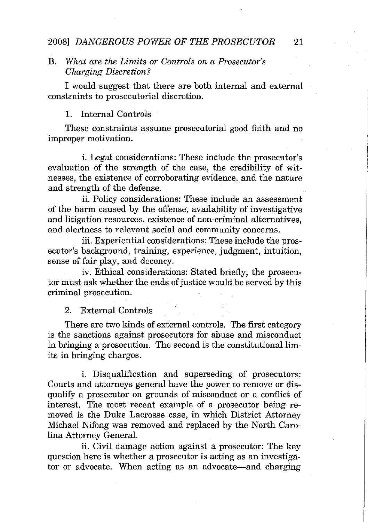### 2008] DANGEROUS POWER OF THE PROSECUTOR 21

## B. *What are the Limits or Controls on a Prosecutor's Charging Discretion?*

I would suggest that there are both internal and external constraints to prosecutorial discretion.

## 1. Internal Controls

These constraints assume prosecutorial good faith and no improper motivation.

i. Legal considerations: These include the prosecutor's evaluation of the strength of the case, the credibility of witnesses, the existence of corroborating evidence, and the nature and strength of the defense.

ii. Policy considerations: These include an assessment of the harm caused by the offense, availability of investigative and litigation resources, existence of non-criminal alternatives, and alertness to relevant social and community concerns.

iii. Experiential considerations: These include the prosecutor's background, training, experience, judgment, intuition, sense of fair play, and decency.

iv. Ethical considerations: Stated briefly, the prosecutor must ask whether the ends of justice would be served by this criminal prosecution.

#### 2. External Controls

There are two kinds of external controls. The first category is the sanctions against prosecutors for abuse and misconduct in bringing a prosecution. The second is the constitutional limits in bringing charges.

i. Disqualification and superseding of prosecutors: Courts and attorneys general have the power to remove or disqualify a prosecutor on grounds of misconduct or a conflict of interest. The most recent example of a prosecutor being removed is the Duke Lacrosse case, in which District Attorney Michael Nifong was removed and replaced by the North Carolina Attorney General.

ii. Civil damage action against a prosecutor: The key question here is whether a prosecutor is acting as an investigator or advocate. When acting as an advocate-and charging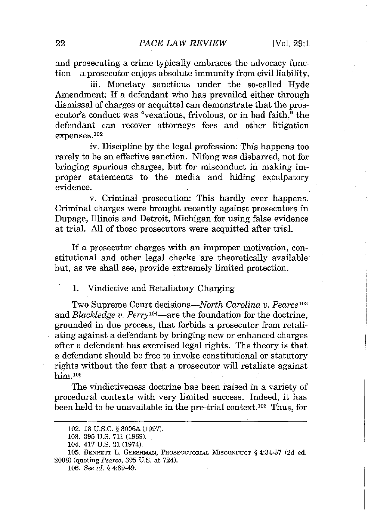and prosecuting a crime typically embraces the advocacy function-a prosecutor enjoys absolute immunity from civil liability.

iii. Monetary sanctions under the so-called Hyde Amendment: If a defendant who has prevailed either through dismissal of charges or acquittal can demonstrate that the prosecutor's conduct was "vexatious, frivolous, or in bad faith," the defendant can recover attorneys fees and other litigation expenses. <sup>102</sup>

iv. Discipline by the legal profession: This happens too rarely to be an effective sanction. Nifong was disbarred, not for bringing spurious charges, but for misconduct in making improper statements to the media and hiding exculpatory evidence.

v. Criminal prosecution: This hardly ever happens. Criminal charges were brought recently against prosecutors in Dupage, Illinois and Detroit, Michigan for using false evidence at trial. All of those prosecutors were acquitted after trial.

If a prosecutor charges with an improper motivation, constitutional and other legal checks are theoretically available but, as we shall see, provide extremely limited protection.

1. Vindictive and Retaliatory Charging

Two Supreme Court decisions~North*Carolina v. Pearce* <sup>103</sup> and *Blackledge v. Perryl04-are* the foundation for the doctrine, grounded in due process, that forbids a prosecutor from retaliating against a defendant by bringing new or enhanced charges after a defendant has exercised legal rights. The theory is that a defendant should be free to invoke constitutional or statutory rights without the fear that a prosecutor will retaliate against him $105$ 

The vindictiveness doctrine has been raised in a variety of procedural contexts with very limited success. Indeed, it has been held to be unavailable in the pre-trial context.<sup>106</sup> Thus, for

<sup>102.</sup> 18 U.S.C. § 3006A (1997).

<sup>103.</sup> 395 u.s. 711 (1969).

<sup>104.</sup> 417 U.s. 21 (1974).

**<sup>105.</sup> BENNETT L. GERSHMAN, PROSECUTORIAL MlSCONDUCT § 4:34-37 (2d ed.** 2008) (quoting *Pearce,* 395 U.S. at 724).

*<sup>106.</sup> See id.* § 4:39-49.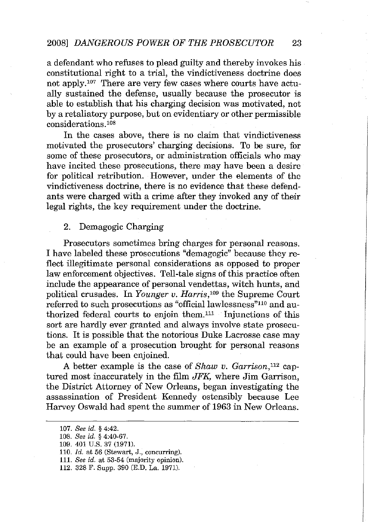a defendant who refuses to plead guilty and thereby invokes his constitutional right to a trial, the vindictiveness doctrine does not apply.<sup>107</sup> There are very few cases where courts have actually sustained the defense, usually because the prosecutor is able to establish that his charging decision was motivated, not by a retaliatory purpose, but on evidentiary or other permissible considerations.<sup>108</sup>

In the cases above, there is no claim that vindictiveness motivated the prosecutors' charging decisions. To be sure, for some of these prosecutors, or administration officials who may have incited these prosecutions, there may have been a desire for political retribution. However, under the elements of the vindictiveness doctrine, there is no evidence that these defendants were charged with a crime after they invoked any of their legal rights, the key requirement under the doctrine.

### 2. Demagogic Charging

Prosecutors sometimes bring charges for personal reasons. I have labeled these prosecutions "demagogic" because they reflect illegitimate personal considerations as opposed to proper law enforcement objectives. Tell-tale signs of this practice often include the appearance of personal vendettas, witch hunts, and political crusades. In *Younger v. Harris,"o9* the Supreme Court referred to such prosecutions as "official lawlessness"<sup>110</sup> and authorized federal courts to enjoin them. <sup>111</sup> Injunctions of this sort are hardly ever granted and always involve state prosecutions. It is possible that the notorious Duke Lacrosse case may be an example of a prosecution brought for personal reasons that could have been enjoined.

A better example is the case of *Shaw v. Garrison,112* captured most inaccurately in the film *JFK,* where Jim Garrison, the District Attorney of New Orleans, began investigating the assassination of President Kennedy ostensibly because Lee Harvey Oswald had spent the summer of 1963 in New Orleans.

*<sup>107.</sup> See id.* § 4:42.

<sup>108.</sup> See *id.* § 4:40-67.

<sup>109.</sup> 401 U.S. 37 (1971).

*<sup>110.</sup> ld.* at 56 (Stewart, J., concurring).

*<sup>111.</sup> See id.* **at 53-54 (majority opinion),**

<sup>112.</sup> 328 F. Supp. 390 (E.D. La. 1971).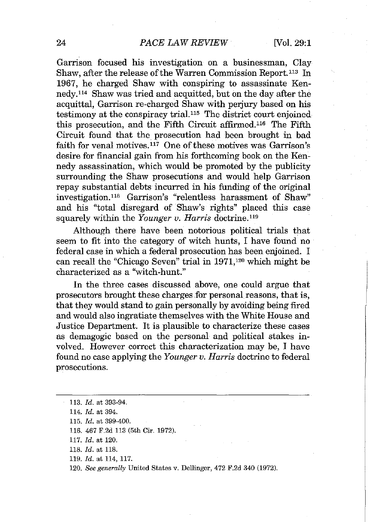Garrison focused his investigation on a businessman, Clay Shaw, after the release of the Warren Commission Report.<sup>113</sup> In 1967, he charged Shaw with conspiring to assassinate Kennedy.114 Shaw was tried and acquitted, but on the day after the acquittal, Garrison re-charged Shaw with perjury based on his testimony at the conspiracy trial.115 The district court enjoined this prosecution, and the Fifth Circuit affirmed.116 The Fifth Circuit found that the prosecution had been brought in bad faith for venal motives.<sup>117</sup> One of these motives was Garrison's desire for financial gain from his forthcoming book on the Kennedy assassination, which would be promoted by the publicity surrounding the Shaw prosecutions and would help Garrison repay substantial debts incurred in his funding of the original investigation.118 Garrison's "relentless harassment of Shaw" and his "total disregard of Shaw's rights" placed this case squarely within the *Younger v. Harris* doctrine. <sup>119</sup>

Although there have been notorious political trials that seem to fit into the category of witch hunts, I have found no federal case in which a federal prosecution has been enjoined. I can recall the "Chicago Seven" trial in **1971,120** which might be characterized as a ''witch-hunt.''

In the three cases discussed above, one could argue that prosecutors brought these charges for personal reasons, that is, that they would stand to gain personally by avoiding being fired and would also ingratiate themselves with the White House and Justice Department. It is plausible to characterize these cases as demagogic based on the personal and political stakes involved. However correct this characterization may be, I have found no case applying the *Younger v. Harris* doctrine to federal prosecutions.

*119. ld.* at 114, 117.

*<sup>113.</sup> ld.* at 393-94.

*<sup>114.</sup> ld.* at 394.

*<sup>115.</sup> ld.* at 399-400.

<sup>116.</sup> 467 F.2d 113 (5th Cir. 1972).

*<sup>117.</sup> ld.* at 120.

*<sup>118.</sup> ld.* at 118.

*<sup>120.</sup> See generally* United States v. Dellinger, 472 F.2d 340 (1972).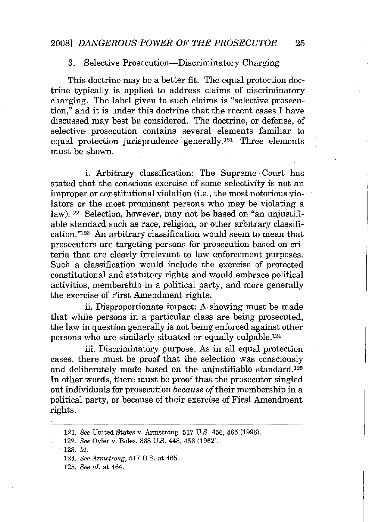## *2008] DANGEROUS POWER OF THE PROSECUTOR 25*

#### 3. Selective Prosecution-Discriminatory Charging

This doctrine may be a better fit. The equal protection doctrine typically is applied to address claims of discriminatory charging. The label given to such claims is "selective prosecution," and it is under this doctrine that the recent cases I have discussed may best be considered. The doctrine, or defense, of selective prosecution contains several elements familiar to equal protection jurisprudence generally.<sup>121</sup> Three elements must be shown.

i. Arbitrary classification: The Supreme Court has stated that the conscious exercise of some selectivity is not an improper or constitutional violation (i.e., the most notorious violators or the most prominent persons who may be violating a law).!22 Selection, however, may not be based on "an unjustifiable standard such as race, religion, or other arbitrary classification."!23 An arbitrary classification would seem to mean that prosecutors are targeting persons for prosecution based on criteria that are clearly irrelevant to law enforcement purposes. Such a classification would include the exercise of protected constitutional and statutory rights and would embrace political activities, membership in a political party, and more generally the exercise of First Amendment rights.

ii. Disproportionate impact: A showing must be made that while persons in a particular class are being prosecuted, the law in question generally is not being enforced against other persons who are similarly situated or equally culpable.<sup>124</sup>

iii. Discriminatory purpose: As in all equal protection cases, there must be proof that the selection was consciously and deliberately made based on the unjustifiable standard.<sup>125</sup> In other words, there must be proof that the prosecutor singled out individuals for prosecution *because of*their membership in a political party, or because of their exercise of First Amendment rights.

*<sup>121.</sup> See* United States v. Armstrong, 517 U.S. 456, 465 (1996).

*<sup>122.</sup> See* Oyler v. Boles, 368 U.S. 448, 456 (1962).

*<sup>123.</sup> Id.*

*<sup>124.</sup> See Armstrong,* 517 U.S. at 465.

*<sup>125.</sup> See id.* at 464.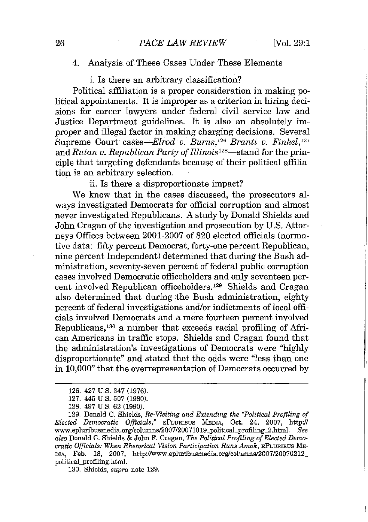#### 4. Analysis of These Cases Under These Elements

i. Is there an arbitrary classification?

Political affiliation is a proper consideration in making political appointments. It is improper as a criterion in hiring decisions for career lawyers under federal civil service law and Justice Department guidelines. It is also an absolutely improper and illegal factor in making charging decisions. Several Supreme Court *cases-Elrod v. Burns,'26 Branti v. Finkel,127* and *Rutan v. Republican Party of Illinois*<sup>128</sup>—stand for the principle that targeting defendants because of their political affiliation is an arbitrary selection.

ii. Is there a disproportionate impact?

We know that in the cases discussed, the prosecutors always investigated Democrats for official corruption and almost never investigated Republicans. A study by Donald Shields and John Cragan of the investigation and prosecution by U.S. Attorneys Offices between 2001-2007 of 820 elected officials (normative data: fifty percent Democrat, forty-one percent Republican, nine percent Independent) determined that during the Bush administration, seventy-seven percent of federal public corruption cases involved Democratic officeholders and only seventeen percent involved Republican officeholders.'29 Shields and Cragan also determined that during the Bush administration, eighty percent of federal investigations and/or indictments of local officials involved Democrats and a mere fourteen percent involved Republicans,<sup>130</sup> a number that exceeds racial profiling of African Americans in traffic stops. Shields and Cragan found that the administration's investigations of Democrats were "highly disproportionate" and stated that the odds were "less than one in 10,000" that the overrepresentation of Democrats occurred by

130. Shields, *supra* note 129.

<sup>126.</sup> 427 U.S. 347 (1976).

<sup>127.</sup> 445 U.S. 507 (1980).

<sup>128.</sup> 497 U.S. 62 (1990).

<sup>129.</sup> Donald C. Shields, *Re-Visiting ond Extending the "Political Profiling of Elected Democratic Officials,"* **EPLURIBUS MEDIA, Oct. 24, 2007, http://** www.epluribusmedia.org/columns/2007/20071019\_political-profiling\_2.html. *See* also Donald C. Shields & John F. Cragan, *The Political Profiling of Elected Democratic Officials: When Rhetorical Vision Participation Runs Amok,* **EPLURIBUS ME-**DIA, Feb. 18, 2007, http://www.epluribusmedia.org/columns/2007/20070212\_ political-profiling.html.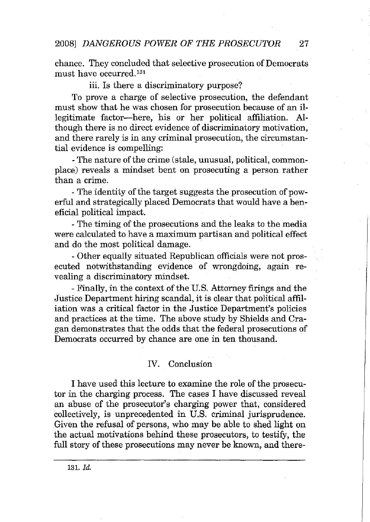chance. They concluded that selective prosecution of Democrats must have occurred.<sup>131</sup>

## iii. Is there a discriminatory purpose?

To prove a charge of selective prosecution, the defendant must show that he was chosen for prosecution because of an illegitimate factor-here, his or her political affiliation. Although there is no direct evidence of discriminatory motivation, and there rarely is in any criminal prosecution, the circumstantial evidence is compelling:

- The nature of the crime (stale, unusual, political, commonplace) reveals a mindset bent on prosecuting a person rather than a crime.

- The identity of the target suggests the prosecution of powerful and strategically placed Democrats that would have a beneficial political impact.

- The timing of the prosecutions and the leaks to the media were calculated to have a maximum partisan and political effect and do the most political damage.

- Other equally situated Republican officials were not prosecuted notwithstanding evidence of wrongdoing, again revealing a discriminatory mindset.

- Finally, in the context of the U.S. Attorney firings and the Justice Department hiring scandal, it is clear that political affiliation was a critical factor in the Justice Department's policies and practices at the time. The above study by Shields and Cragan demonstrates that the odds that the federal prosecutions of Democrats occurred by chance are one in ten thousand.

## IV. Conclusion

I have used this lecture to examine the role of the prosecutor in the charging process. The cases I have discussed reveal an abuse of the prosecutor's charging power that, considered collectively, is unprecedented in U.S. criminal jurisprudence. Given the refusal of persons, who may be able to shed light on the actual motivations behind these prosecutors, to testifY, the full story of these prosecutions may never be known, and there